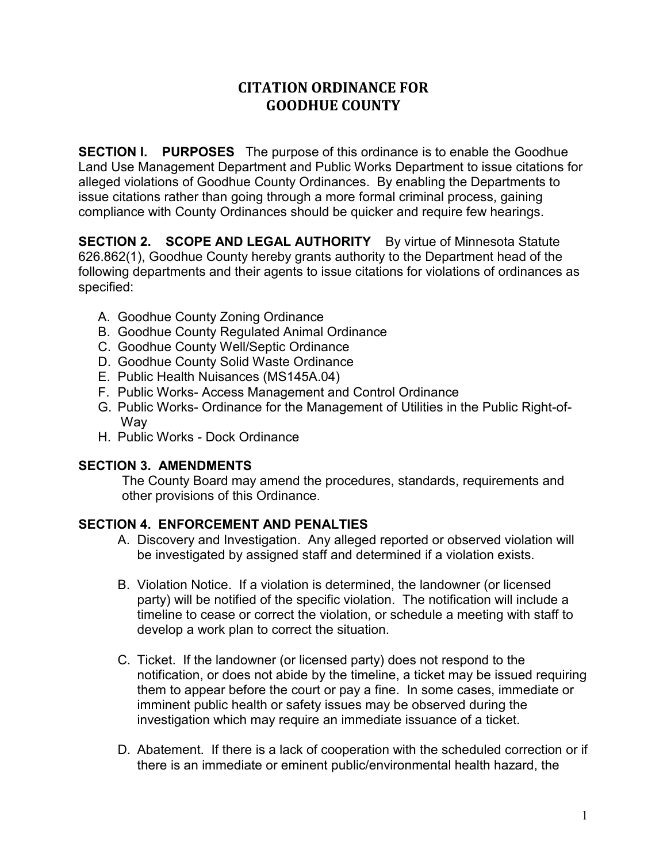# **CITATION ORDINANCE FOR GOODHUE COUNTY**

**SECTION I. PURPOSES** The purpose of this ordinance is to enable the Goodhue Land Use Management Department and Public Works Department to issue citations for alleged violations of Goodhue County Ordinances. By enabling the Departments to issue citations rather than going through a more formal criminal process, gaining compliance with County Ordinances should be quicker and require few hearings.

**SECTION 2. SCOPE AND LEGAL AUTHORITY** By virtue of Minnesota Statute 626.862(1), Goodhue County hereby grants authority to the Department head of the following departments and their agents to issue citations for violations of ordinances as specified:

- A. Goodhue County Zoning Ordinance
- B. Goodhue County Regulated Animal Ordinance
- C. Goodhue County Well/Septic Ordinance
- D. Goodhue County Solid Waste Ordinance
- E. Public Health Nuisances (MS145A.04)
- F. Public Works- Access Management and Control Ordinance
- G. Public Works- Ordinance for the Management of Utilities in the Public Right-of-Way
- H. Public Works Dock Ordinance

## **SECTION 3. AMENDMENTS**

The County Board may amend the procedures, standards, requirements and other provisions of this Ordinance.

## **SECTION 4. ENFORCEMENT AND PENALTIES**

- A. Discovery and Investigation. Any alleged reported or observed violation will be investigated by assigned staff and determined if a violation exists.
- B. Violation Notice. If a violation is determined, the landowner (or licensed party) will be notified of the specific violation. The notification will include a timeline to cease or correct the violation, or schedule a meeting with staff to develop a work plan to correct the situation.
- C. Ticket. If the landowner (or licensed party) does not respond to the notification, or does not abide by the timeline, a ticket may be issued requiring them to appear before the court or pay a fine. In some cases, immediate or imminent public health or safety issues may be observed during the investigation which may require an immediate issuance of a ticket.
- D. Abatement. If there is a lack of cooperation with the scheduled correction or if there is an immediate or eminent public/environmental health hazard, the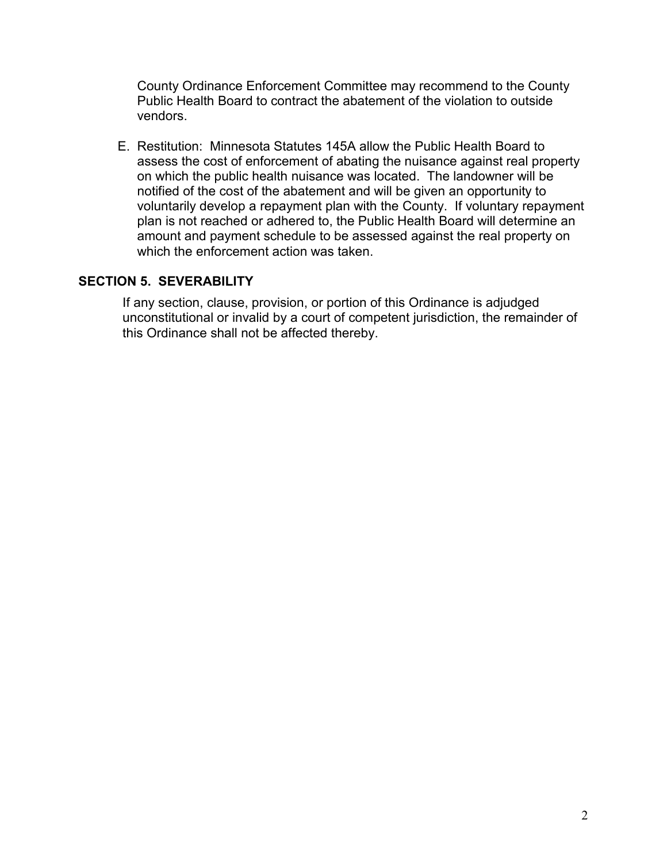County Ordinance Enforcement Committee may recommend to the County Public Health Board to contract the abatement of the violation to outside vendors.

E. Restitution: Minnesota Statutes 145A allow the Public Health Board to assess the cost of enforcement of abating the nuisance against real property on which the public health nuisance was located. The landowner will be notified of the cost of the abatement and will be given an opportunity to voluntarily develop a repayment plan with the County. If voluntary repayment plan is not reached or adhered to, the Public Health Board will determine an amount and payment schedule to be assessed against the real property on which the enforcement action was taken

## **SECTION 5. SEVERABILITY**

If any section, clause, provision, or portion of this Ordinance is adjudged unconstitutional or invalid by a court of competent jurisdiction, the remainder of this Ordinance shall not be affected thereby.